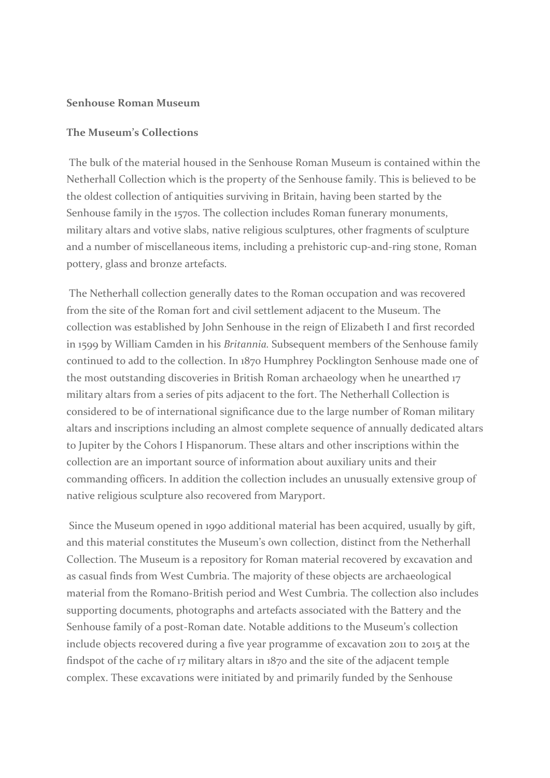## **Senhouse Roman Museum**

## **The Museum's Collections**

The bulk of the material housed in the Senhouse Roman Museum is contained within the Netherhall Collection which is the property of the Senhouse family. This is believed to be the oldest collection of antiquities surviving in Britain, having been started by the Senhouse family in the 1570s. The collection includes Roman funerary monuments, military altars and votive slabs, native religious sculptures, other fragments of sculpture and a number of miscellaneous items, including a prehistoric cup-and-ring stone, Roman pottery, glass and bronze artefacts.

The Netherhall collection generally dates to the Roman occupation and was recovered from the site of the Roman fort and civil settlement adjacent to the Museum. The collection was established by John Senhouse in the reign of Elizabeth I and first recorded in 1599 by William Camden in his *Britannia.* Subsequent members of the Senhouse family continued to add to the collection. In 1870 Humphrey Pocklington Senhouse made one of the most outstanding discoveries in British Roman archaeology when he unearthed 17 military altars from a series of pits adjacent to the fort. The Netherhall Collection is considered to be of international significance due to the large number of Roman military altars and inscriptions including an almost complete sequence of annually dedicated altars to Jupiter by the Cohors I Hispanorum. These altars and other inscriptions within the collection are an important source of information about auxiliary units and their commanding officers. In addition the collection includes an unusually extensive group of native religious sculpture also recovered from Maryport.

Since the Museum opened in 1990 additional material has been acquired, usually by gift, and this material constitutes the Museum's own collection, distinct from the Netherhall Collection. The Museum is a repository for Roman material recovered by excavation and as casual finds from West Cumbria. The majority of these objects are archaeological material from the Romano-British period and West Cumbria. The collection also includes supporting documents, photographs and artefacts associated with the Battery and the Senhouse family of a post-Roman date. Notable additions to the Museum's collection include objects recovered during a five year programme of excavation 2011 to 2015 at the findspot of the cache of 17 military altars in 1870 and the site of the adjacent temple complex. These excavations were initiated by and primarily funded by the Senhouse